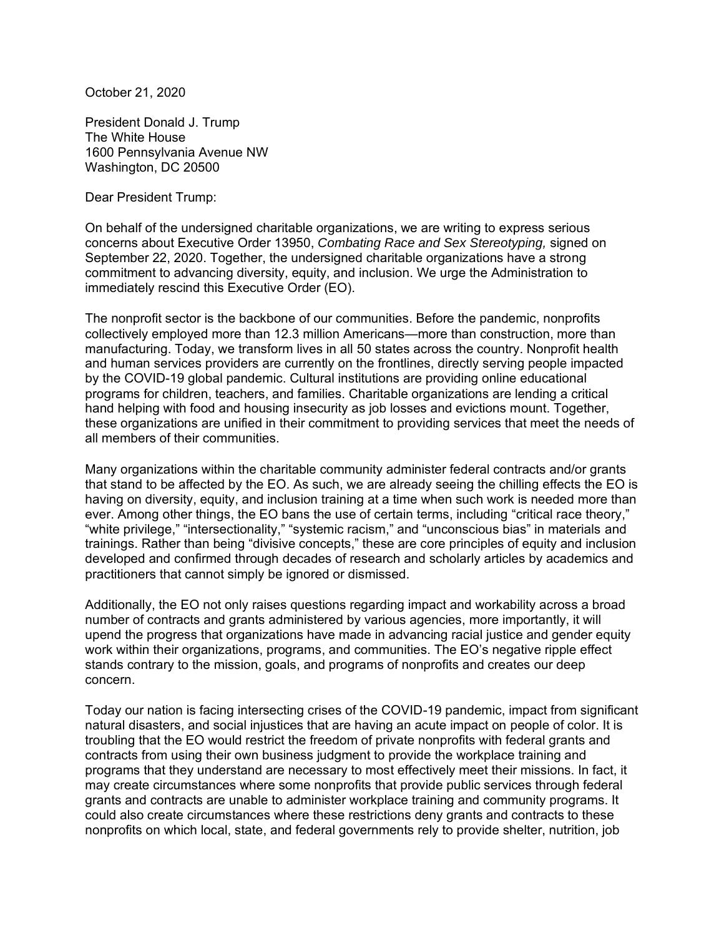October 21, 2020

President Donald J. Trump The White House 1600 Pennsylvania Avenue NW Washington, DC 20500

Dear President Trump:

On behalf of the undersigned charitable organizations, we are writing to express serious concerns about Executive Order 13950, *Combating Race and Sex Stereotyping,* signed on September 22, 2020. Together, the undersigned charitable organizations have a strong commitment to advancing diversity, equity, and inclusion. We urge the Administration to immediately rescind this Executive Order (EO).

The nonprofit sector is the backbone of our communities. Before the pandemic, nonprofits collectively employed more than 12.3 million Americans—more than construction, more than manufacturing. Today, we transform lives in all 50 states across the country. Nonprofit health and human services providers are currently on the frontlines, directly serving people impacted by the COVID-19 global pandemic. Cultural institutions are providing online educational programs for children, teachers, and families. Charitable organizations are lending a critical hand helping with food and housing insecurity as job losses and evictions mount. Together, these organizations are unified in their commitment to providing services that meet the needs of all members of their communities.

Many organizations within the charitable community administer federal contracts and/or grants that stand to be affected by the EO. As such, we are already seeing the chilling effects the EO is having on diversity, equity, and inclusion training at a time when such work is needed more than ever. Among other things, the EO bans the use of certain terms, including "critical race theory," "white privilege," "intersectionality," "systemic racism," and "unconscious bias" in materials and trainings. Rather than being "divisive concepts," these are core principles of equity and inclusion developed and confirmed through decades of research and scholarly articles by academics and practitioners that cannot simply be ignored or dismissed.

Additionally, the EO not only raises questions regarding impact and workability across a broad number of contracts and grants administered by various agencies, more importantly, it will upend the progress that organizations have made in advancing racial justice and gender equity work within their organizations, programs, and communities. The EO's negative ripple effect stands contrary to the mission, goals, and programs of nonprofits and creates our deep concern.

Today our nation is facing intersecting crises of the COVID-19 pandemic, impact from significant natural disasters, and social injustices that are having an acute impact on people of color. It is troubling that the EO would restrict the freedom of private nonprofits with federal grants and contracts from using their own business judgment to provide the workplace training and programs that they understand are necessary to most effectively meet their missions. In fact, it may create circumstances where some nonprofits that provide public services through federal grants and contracts are unable to administer workplace training and community programs. It could also create circumstances where these restrictions deny grants and contracts to these nonprofits on which local, state, and federal governments rely to provide shelter, nutrition, job